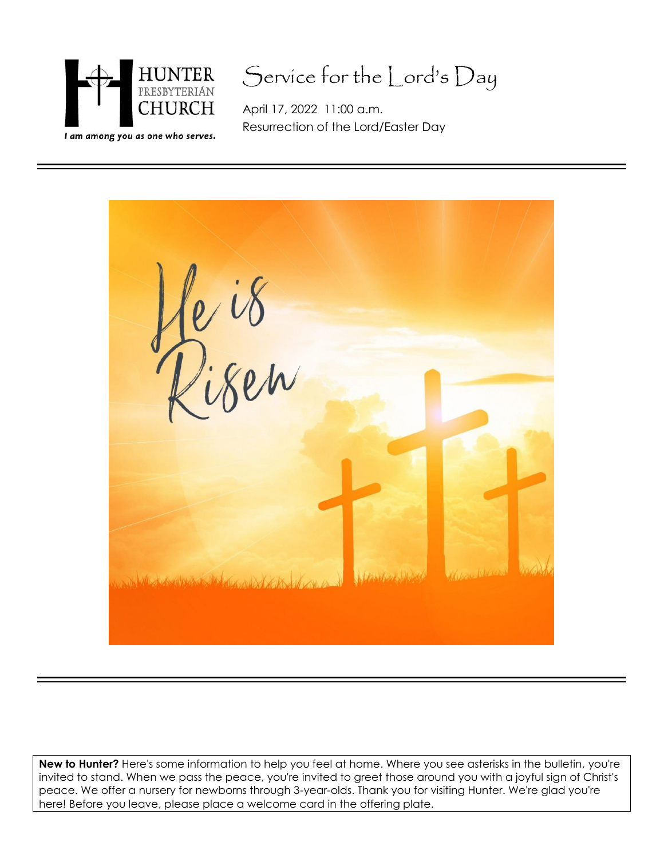

## Service for the Lord's Day

April 17, 2022 11:00 a.m. Resurrection of the Lord/Easter Day



**New to Hunter?** Here's some information to help you feel at home. Where you see asterisks in the bulletin, you're invited to stand. When we pass the peace, you're invited to greet those around you with a joyful sign of Christ's peace. We offer a nursery for newborns through 3-year-olds. Thank you for visiting Hunter. We're glad you're here! Before you leave, please place a welcome card in the offering plate.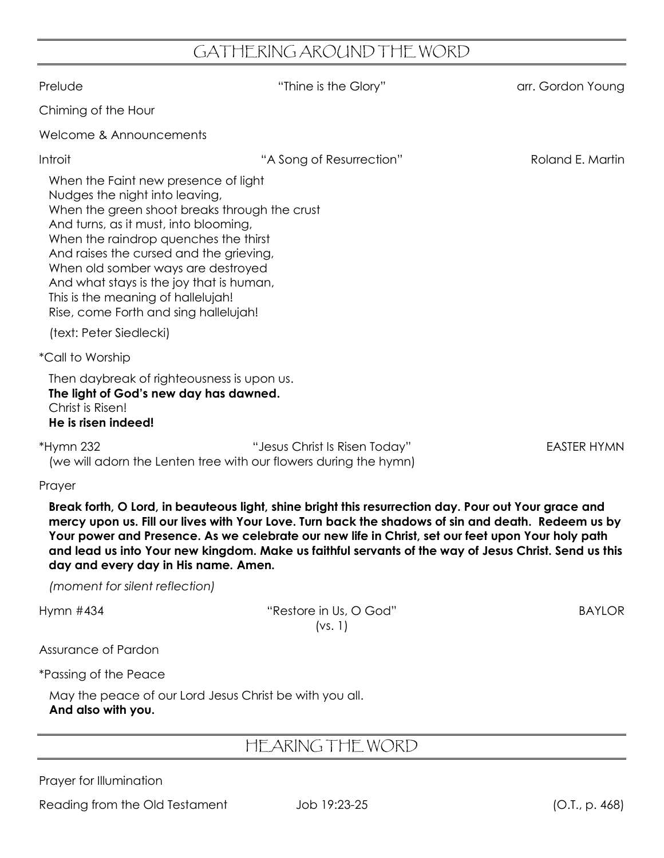## GATHERING AROUND THE WORD

| Prelude                                                                                                                                                                                                                                                                                                                                                                                                               | "Thine is the Glory"                                                                                                                                                                                                                                                                                                                                                                                                     | arr. Gordon Young  |  |
|-----------------------------------------------------------------------------------------------------------------------------------------------------------------------------------------------------------------------------------------------------------------------------------------------------------------------------------------------------------------------------------------------------------------------|--------------------------------------------------------------------------------------------------------------------------------------------------------------------------------------------------------------------------------------------------------------------------------------------------------------------------------------------------------------------------------------------------------------------------|--------------------|--|
| Chiming of the Hour                                                                                                                                                                                                                                                                                                                                                                                                   |                                                                                                                                                                                                                                                                                                                                                                                                                          |                    |  |
| Welcome & Announcements                                                                                                                                                                                                                                                                                                                                                                                               |                                                                                                                                                                                                                                                                                                                                                                                                                          |                    |  |
| Introit                                                                                                                                                                                                                                                                                                                                                                                                               | "A Song of Resurrection"                                                                                                                                                                                                                                                                                                                                                                                                 | Roland E. Martin   |  |
| When the Faint new presence of light<br>Nudges the night into leaving,<br>When the green shoot breaks through the crust<br>And turns, as it must, into blooming,<br>When the raindrop quenches the thirst<br>And raises the cursed and the grieving,<br>When old somber ways are destroyed<br>And what stays is the joy that is human,<br>This is the meaning of hallelujah!<br>Rise, come Forth and sing hallelujah! |                                                                                                                                                                                                                                                                                                                                                                                                                          |                    |  |
| (text: Peter Siedlecki)                                                                                                                                                                                                                                                                                                                                                                                               |                                                                                                                                                                                                                                                                                                                                                                                                                          |                    |  |
| <i>*Call to Worship</i>                                                                                                                                                                                                                                                                                                                                                                                               |                                                                                                                                                                                                                                                                                                                                                                                                                          |                    |  |
| Then daybreak of righteousness is upon us.<br>The light of God's new day has dawned.<br>Christ is Risen!<br>He is risen indeed!                                                                                                                                                                                                                                                                                       |                                                                                                                                                                                                                                                                                                                                                                                                                          |                    |  |
| *Hymn 232<br>(we will adorn the Lenten tree with our flowers during the hymn)                                                                                                                                                                                                                                                                                                                                         | "Jesus Christ Is Risen Today"                                                                                                                                                                                                                                                                                                                                                                                            | <b>EASTER HYMN</b> |  |
| Prayer                                                                                                                                                                                                                                                                                                                                                                                                                |                                                                                                                                                                                                                                                                                                                                                                                                                          |                    |  |
| day and every day in His name. Amen.                                                                                                                                                                                                                                                                                                                                                                                  | Break forth, O Lord, in beauteous light, shine bright this resurrection day. Pour out Your grace and<br>mercy upon us. Fill our lives with Your Love. Turn back the shadows of sin and death. Redeem us by<br>Your power and Presence. As we celebrate our new life in Christ, set our feet upon Your holy path<br>and lead us into Your new kingdom. Make us faithful servants of the way of Jesus Christ. Send us this |                    |  |
| (moment for silent reflection)                                                                                                                                                                                                                                                                                                                                                                                        |                                                                                                                                                                                                                                                                                                                                                                                                                          |                    |  |
| Hymn #434                                                                                                                                                                                                                                                                                                                                                                                                             | "Restore in Us, O God"<br>(vs. 1)                                                                                                                                                                                                                                                                                                                                                                                        | <b>BAYLOR</b>      |  |
| Assurance of Pardon                                                                                                                                                                                                                                                                                                                                                                                                   |                                                                                                                                                                                                                                                                                                                                                                                                                          |                    |  |
| <i>*Passing of the Peace</i>                                                                                                                                                                                                                                                                                                                                                                                          |                                                                                                                                                                                                                                                                                                                                                                                                                          |                    |  |
| May the peace of our Lord Jesus Christ be with you all.<br>And also with you.                                                                                                                                                                                                                                                                                                                                         |                                                                                                                                                                                                                                                                                                                                                                                                                          |                    |  |
| HEARING THE WORD                                                                                                                                                                                                                                                                                                                                                                                                      |                                                                                                                                                                                                                                                                                                                                                                                                                          |                    |  |

Prayer for Illumination

Reading from the Old Testament Job 19:23-25 (O.T., p. 468)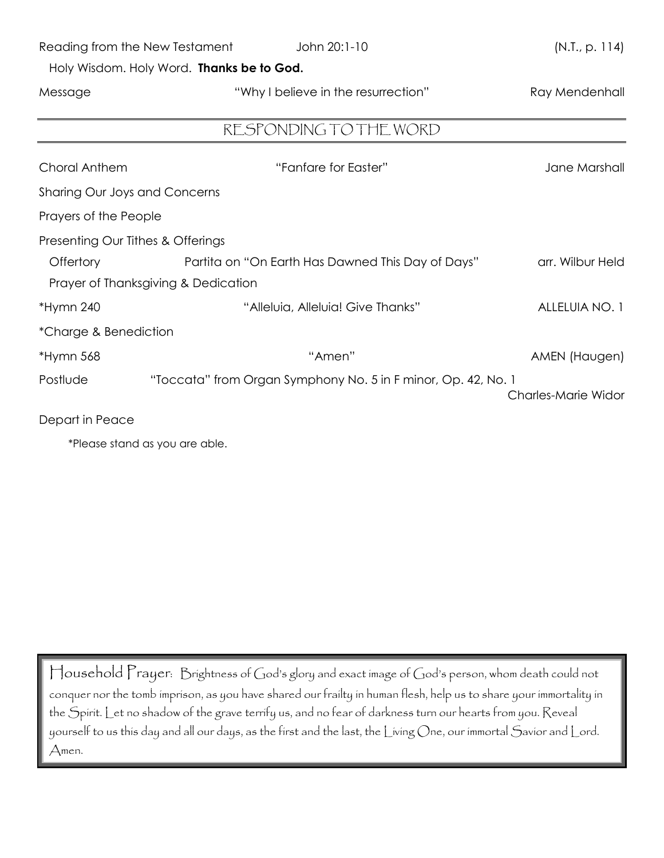| Reading from the New Testament            | John 20:1-10                                                  | (N.T., p. 114)      |  |
|-------------------------------------------|---------------------------------------------------------------|---------------------|--|
| Holy Wisdom. Holy Word. Thanks be to God. |                                                               |                     |  |
| Message                                   | "Why I believe in the resurrection"                           | Ray Mendenhall      |  |
|                                           |                                                               |                     |  |
| RESPONDING TO THE WORD                    |                                                               |                     |  |
| Choral Anthem                             | "Fanfare for Easter"                                          | Jane Marshall       |  |
| <b>Sharing Our Joys and Concerns</b>      |                                                               |                     |  |
| Prayers of the People                     |                                                               |                     |  |
| Presenting Our Tithes & Offerings         |                                                               |                     |  |
| Offertory                                 | Partita on "On Earth Has Dawned This Day of Days"             | arr. Wilbur Held    |  |
| Prayer of Thanksgiving & Dedication       |                                                               |                     |  |
| *Hymn 240                                 | "Alleluia, Alleluia! Give Thanks"                             | ALLELUIA NO. 1      |  |
| *Charge & Benediction                     |                                                               |                     |  |
| *Hymn 568                                 | "Amen"                                                        | AMEN (Haugen)       |  |
| Postlude                                  | "Toccata" from Organ Symphony No. 5 in F minor, Op. 42, No. 1 | Charles-Marie Widor |  |
| Depart in Peace                           |                                                               |                     |  |

\*Please stand as you are able.

Household Prayer: Brightness of God's glory and exact image of God's person, whom death could not conquer nor the tomb imprison, as you have shared our frailty in human flesh, help us to share your immortality in the Spirit. Let no shadow of the grave terrify us, and no fear of darkness turn our hearts from you. Reveal yourself to us this day and all our days, as the first and the last, the Living One, our immortal Savior and Lord. Amen.